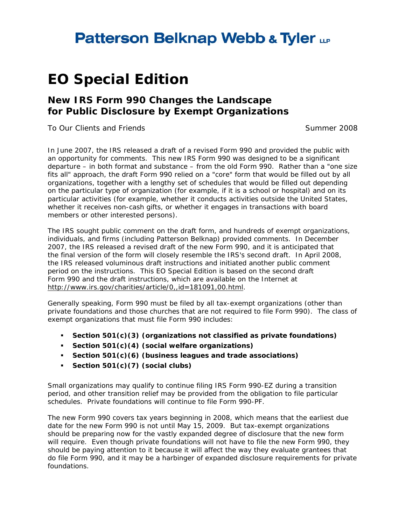## **Patterson Belknap Webb & Tyler LLP**

# **EO Special Edition**

### **New IRS Form 990 Changes the Landscape for Public Disclosure by Exempt Organizations**

*To Our Clients and Friends* Summer 2008

In June 2007, the IRS released a draft of a revised Form 990 and provided the public with an opportunity for comments. This new IRS Form 990 was designed to be a significant departure – in both format and substance – from the old Form 990. Rather than a "one size fits all" approach, the draft Form 990 relied on a "core" form that would be filled out by all organizations, together with a lengthy set of schedules that would be filled out depending on the particular type of organization (for example, if it is a school or hospital) and on its particular activities (for example, whether it conducts activities outside the United States, whether it receives non-cash gifts, or whether it engages in transactions with board members or other interested persons).

The IRS sought public comment on the draft form, and hundreds of exempt organizations, individuals, and firms (including Patterson Belknap) provided comments. In December 2007, the IRS released a revised draft of the new Form 990, and it is anticipated that the final version of the form will closely resemble the IRS's second draft. In April 2008, the IRS released voluminous draft instructions and initiated another public comment period on the instructions. This EO Special Edition is based on the second draft Form 990 and the draft instructions, which are available on the Internet at http://www.irs.gov/charities/article/0,,id=181091,00.html.

Generally speaking, Form 990 must be filed by all tax-exempt organizations (other than private foundations and those churches that are not required to file Form 990). The class of exempt organizations that must file Form 990 includes:

- **Section 501(c)(3) (organizations not classified as private foundations)**
- **Section 501(c)(4) (social welfare organizations)**
- **Section 501(c)(6) (business leagues and trade associations)**
- **Section 501(c)(7) (social clubs)**

Small organizations may qualify to continue filing IRS Form 990-EZ during a transition period, and other transition relief may be provided from the obligation to file particular schedules. Private foundations will continue to file Form 990-PF.

The new Form 990 covers tax years beginning in 2008, which means that the earliest due date for the new Form 990 is not until May 15, 2009. But tax-exempt organizations should be preparing now for the vastly expanded degree of disclosure that the new form will require. Even though private foundations will not have to file the new Form 990, they should be paying attention to it because it will affect the way they evaluate grantees that do file Form 990, and it may be a harbinger of expanded disclosure requirements for private foundations.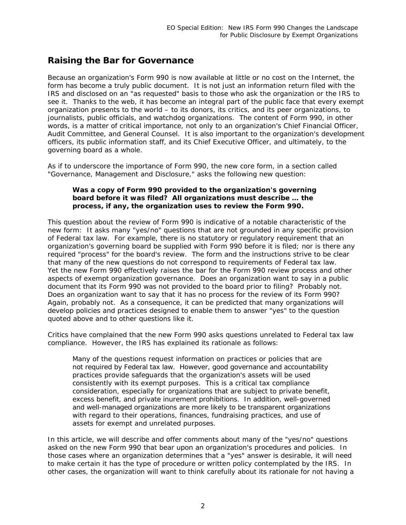#### *Raising the Bar for Governance*

Because an organization's Form 990 is now available at little or no cost on the Internet, the form has become a truly public document. It is not just an information return filed with the IRS and disclosed on an "as requested" basis to those who ask the organization or the IRS to see it. Thanks to the web, it has become an integral part of the public face that every exempt organization presents to the world – to its donors, its critics, and its peer organizations, to journalists, public officials, and watchdog organizations. The content of Form 990, in other words, is a matter of critical importance, not only to an organization's Chief Financial Officer, Audit Committee, and General Counsel. It is also important to the organization's development officers, its public information staff, and its Chief Executive Officer, and ultimately, to the governing board as a whole.

As if to underscore the importance of Form 990, the new core form, in a section called "Governance, Management and Disclosure," asks the following new question:

#### *Was a copy of Form 990 provided to the organization's governing board before it was filed? All organizations must describe … the process, if any, the organization uses to review the Form 990.*

This question about the review of Form 990 is indicative of a notable characteristic of the new form: It asks many "yes/no" questions that are not grounded in any specific provision of Federal tax law. For example, there is no statutory or regulatory requirement that an organization's governing board be supplied with Form 990 before it is filed; nor is there any required "process" for the board's review. The form and the instructions strive to be clear that many of the new questions do not correspond to requirements of Federal tax law. Yet the new Form 990 effectively raises the bar for the Form 990 review process and other aspects of exempt organization governance. Does an organization want to say in a public document that its Form 990 was *not* provided to the board prior to filing? Probably not. Does an organization want to say that it has *no* process for the review of its Form 990? Again, probably not. As a consequence, it can be predicted that many organizations will develop policies and practices designed to enable them to answer "yes" to the question quoted above and to other questions like it.

Critics have complained that the new Form 990 asks questions unrelated to Federal tax law compliance. However, the IRS has explained its rationale as follows:

Many of the questions request information on practices or policies that are not required by Federal tax law. However, good governance and accountability practices provide safeguards that the organization's assets will be used consistently with its exempt purposes. This is a critical tax compliance consideration, especially for organizations that are subject to private benefit, excess benefit, and private inurement prohibitions. In addition, well-governed and well-managed organizations are more likely to be transparent organizations with regard to their operations, finances, fundraising practices, and use of assets for exempt and unrelated purposes.

In this article, we will describe and offer comments about many of the "yes/no" questions asked on the new Form 990 that bear upon an organization's procedures and policies. In those cases where an organization determines that a "yes" answer is desirable, it will need to make certain it has the type of procedure or written policy contemplated by the IRS. In other cases, the organization will want to think carefully about its rationale for *not* having a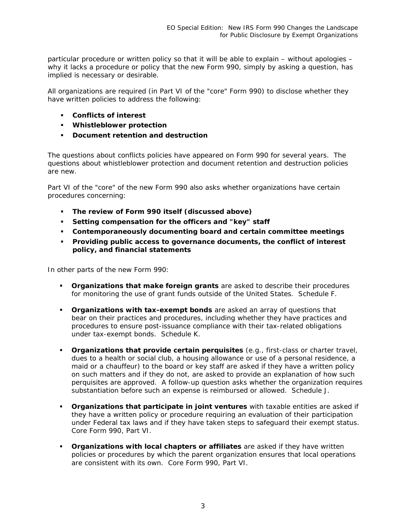particular procedure or written policy so that it will be able to explain – without apologies – why it lacks a procedure or policy that the new Form 990, simply by asking a question, has implied is necessary or desirable.

All organizations are required (in Part VI of the "core" Form 990) to disclose whether they have written policies to address the following:

- **Conflicts of interest**
- **Whistleblower protection**
- **Document retention and destruction**

The questions about conflicts policies have appeared on Form 990 for several years. The questions about whistleblower protection and document retention and destruction policies are new.

Part VI of the "core" of the new Form 990 also asks whether organizations have certain procedures concerning:

- **The review of Form 990 itself (discussed above)**
- **Setting compensation for the officers and "key" staff**
- **Contemporaneously documenting board and certain committee meetings**
- **Providing public access to governance documents, the conflict of interest policy, and financial statements**

In other parts of the new Form 990:

- **Organizations that make foreign grants** are asked to describe their procedures for monitoring the use of grant funds outside of the United States. *Schedule F.*
- **Craanizations with tax-exempt bonds** are asked an array of questions that bear on their practices and procedures, including whether they have practices and procedures to ensure post-issuance compliance with their tax-related obligations under tax-exempt bonds. *Schedule K.*
- **Organizations that provide certain perquisites** (e.g., first-class or charter travel, dues to a health or social club, a housing allowance or use of a personal residence, a maid or a chauffeur) to the board or key staff are asked if they have a written policy on such matters and if they do not, are asked to provide an explanation of how such perquisites are approved. A follow-up question asks whether the organization requires substantiation before such an expense is reimbursed or allowed. *Schedule J.*
- **Organizations that participate in joint ventures** with taxable entities are asked if they have a written policy or procedure requiring an evaluation of their participation under Federal tax laws and if they have taken steps to safeguard their exempt status. *Core Form 990, Part VI.*
- **Organizations with local chapters or affiliates** are asked if they have written policies or procedures by which the parent organization ensures that local operations are consistent with its own. *Core Form 990, Part VI.*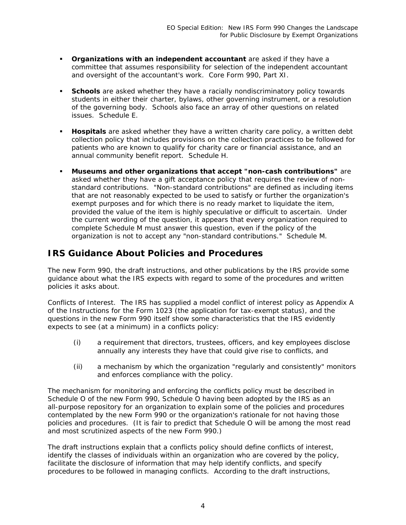- **Organizations with an independent accountant** are asked if they have a committee that assumes responsibility for selection of the independent accountant and oversight of the accountant's work. *Core Form 990, Part XI.*
- **Schools** are asked whether they have a racially nondiscriminatory policy towards students in either their charter, bylaws, other governing instrument, or a resolution of the governing body. Schools also face an array of other questions on related issues. *Schedule E.*
- **Hospitals** are asked whether they have a written charity care policy, a written debt collection policy that includes provisions on the collection practices to be followed for patients who are known to qualify for charity care or financial assistance, and an annual community benefit report. *Schedule H.*
- **Museums and other organizations that accept "non-cash contributions"** are asked whether they have a gift acceptance policy that requires the review of nonstandard contributions. "Non-standard contributions" are defined as including items that are *not* reasonably expected to be used to satisfy or further the organization's exempt purposes and for which there is no ready market to liquidate the item, provided the value of the item is highly speculative or difficult to ascertain. Under the current wording of the question, it appears that every organization required to complete Schedule M must answer this question, even if the policy of the organization is not to accept any "non-standard contributions." *Schedule M.*

### *IRS Guidance About Policies and Procedures*

The new Form 990, the draft instructions, and other publications by the IRS provide some guidance about what the IRS expects with regard to some of the procedures and written policies it asks about.

*Conflicts of Interest.* The IRS has supplied a model conflict of interest policy as Appendix A of the Instructions for the Form 1023 (the application for tax-exempt status), and the questions in the new Form 990 itself show some characteristics that the IRS evidently expects to see (at a minimum) in a conflicts policy:

- (i) a requirement that directors, trustees, officers, and key employees disclose annually any interests they have that could give rise to conflicts, *and*
- (ii) a mechanism by which the organization "regularly and consistently" monitors and enforces compliance with the policy.

The mechanism for monitoring and enforcing the conflicts policy must be described in Schedule O of the new Form 990, Schedule O having been adopted by the IRS as an all-purpose repository for an organization to explain some of the policies and procedures contemplated by the new Form 990 or the organization's rationale for not having those policies and procedures. (It is fair to predict that Schedule O will be among the most read and most scrutinized aspects of the new Form 990.)

The draft instructions explain that a conflicts policy should define conflicts of interest, identify the classes of individuals within an organization who are covered by the policy, facilitate the disclosure of information that may help identify conflicts, and specify procedures to be followed in managing conflicts. According to the draft instructions,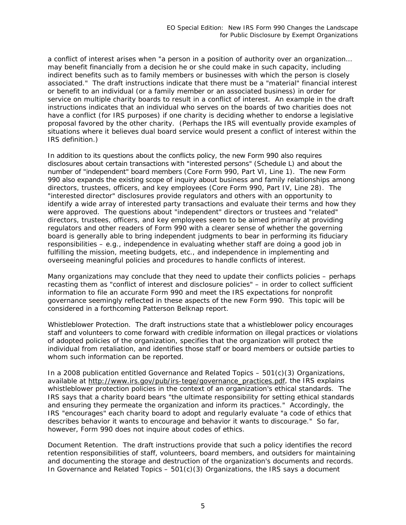a conflict of interest arises when "a person in a position of authority over an organization… may benefit financially from a decision he or she could make in such capacity, including indirect benefits such as to family members or businesses with which the person is closely associated." The draft instructions indicate that there must be a "material" financial interest or benefit to an individual (or a family member or an associated business) in order for service on multiple charity boards to result in a conflict of interest. An example in the draft instructions indicates that an individual who serves on the boards of two charities does not have a conflict (for IRS purposes) if one charity is deciding whether to endorse a legislative proposal favored by the other charity. (Perhaps the IRS will eventually provide examples of situations where it believes dual board service *would* present a conflict of interest within the IRS definition.)

In addition to its questions about the conflicts policy, the new Form 990 also requires disclosures about certain transactions with "interested persons" (Schedule L) and about the number of "independent" board members (Core Form 990, Part VI, Line 1). The new Form 990 also expands the existing scope of inquiry about business and family relationships among directors, trustees, officers, and key employees (Core Form 990, Part IV, Line 28). The "interested director" disclosures provide regulators and others with an opportunity to identify a wide array of interested party transactions and evaluate their terms and how they were approved. The questions about "independent" directors or trustees and "related" directors, trustees, officers, and key employees seem to be aimed primarily at providing regulators and other readers of Form 990 with a clearer sense of whether the governing board is generally able to bring independent judgments to bear in performing its fiduciary responsibilities – e.g., independence in evaluating whether staff are doing a good job in fulfilling the mission, meeting budgets, etc., and independence in implementing and overseeing meaningful policies and procedures to handle conflicts of interest.

Many organizations may conclude that they need to update their conflicts policies – perhaps recasting them as "conflict of interest and disclosure policies" – in order to collect sufficient information to file an accurate Form 990 and meet the IRS expectations for nonprofit governance seemingly reflected in these aspects of the new Form 990. This topic will be considered in a forthcoming Patterson Belknap report.

*Whistleblower Protection*. The draft instructions state that a whistleblower policy encourages staff and volunteers to come forward with credible information on illegal practices or violations of adopted policies of the organization, specifies that the organization will protect the individual from retaliation, and identifies those staff or board members or outside parties to whom such information can be reported.

In a 2008 publication entitled *Governance and Related Topics – 501(c)(3) Organizations,*  available at http://www.irs.gov/pub/irs-tege/governance\_practices.pdf, the IRS explains whistleblower protection policies in the context of an organization's ethical standards. The IRS says that a charity board bears "the ultimate responsibility for setting ethical standards and ensuring they permeate the organization and inform its practices." Accordingly, the IRS "encourages" each charity board to adopt and regularly evaluate "a code of ethics that describes behavior it wants to encourage and behavior it wants to discourage." So far, however, Form 990 does not inquire about codes of ethics.

*Document Retention*. The draft instructions provide that such a policy identifies the record retention responsibilities of staff, volunteers, board members, and outsiders for maintaining and documenting the storage and destruction of the organization's documents and records. In *Governance and Related Topics – 501(c)(3) Organizations,* the IRS says a document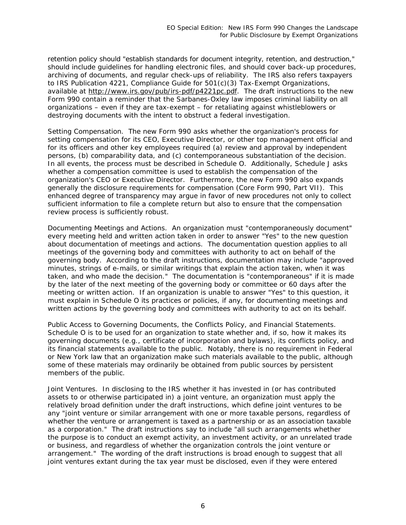retention policy should "establish standards for document integrity, retention, and destruction," should include guidelines for handling electronic files, and should cover back-up procedures, archiving of documents, and regular check-ups of reliability. The IRS also refers taxpayers to IRS Publication 4221, *Compliance Guide for 501(c)(3) Tax-Exempt Organizations*, available at http://www.irs.gov/pub/irs-pdf/p4221pc.pdf. The draft instructions to the new Form 990 contain a reminder that the Sarbanes-Oxley law imposes criminal liability on all organizations – even if they are tax-exempt – for retaliating against whistleblowers or destroying documents with the intent to obstruct a federal investigation.

*Setting Compensation*. The new Form 990 asks whether the organization's process for setting compensation for its CEO, Executive Director, or other top management official and for its officers and other key employees required (a) review and approval by independent persons, (b) comparability data, and (c) contemporaneous substantiation of the decision. In all events, the process must be described in Schedule O. Additionally, Schedule J asks whether a compensation committee is used to establish the compensation of the organization's CEO or Executive Director. Furthermore, the new Form 990 also expands generally the disclosure requirements for compensation (Core Form 990, Part VII). This enhanced degree of transparency may argue in favor of new procedures not only to collect sufficient information to file a complete return but also to ensure that the compensation review process is sufficiently robust.

*Documenting Meetings and Actions*. An organization must "contemporaneously document" *every* meeting held and written action taken in order to answer "Yes" to the new question about documentation of meetings and actions. The documentation question applies to all meetings of the governing body and committees with authority to act on behalf of the governing body. According to the draft instructions, documentation may include "approved minutes, strings of e-mails, or similar writings that explain the action taken, when it was taken, and who made the decision." The documentation is "contemporaneous" if it is made by the later of the next meeting of the governing body or committee or 60 days after the meeting or written action. If an organization is unable to answer "Yes" to this question, it must explain in Schedule O its practices or policies, if any, for documenting meetings and written actions by the governing body and committees with authority to act on its behalf.

*Public Access to Governing Documents, the Conflicts Policy, and Financial Statements.*  Schedule O is to be used for an organization to state whether and, if so, how it makes its governing documents (e.g., certificate of incorporation and bylaws), its conflicts policy, and its financial statements available to the public. Notably, there is no requirement in Federal or New York law that an organization make such materials available to the public, although some of these materials may ordinarily be obtained from public sources by persistent members of the public.

*Joint Ventures*. In disclosing to the IRS whether it has invested in (or has contributed assets to or otherwise participated in) a joint venture, an organization must apply the relatively broad definition under the draft instructions, which define joint ventures to be any "joint venture or similar arrangement with one or more taxable persons, regardless of whether the venture or arrangement is taxed as a partnership or as an association taxable as a corporation." The draft instructions say to include "all such arrangements whether the purpose is to conduct an exempt activity, an investment activity, or an unrelated trade or business, and regardless of whether the organization controls the joint venture or arrangement." The wording of the draft instructions is broad enough to suggest that all joint ventures extant during the tax year must be disclosed, even if they were entered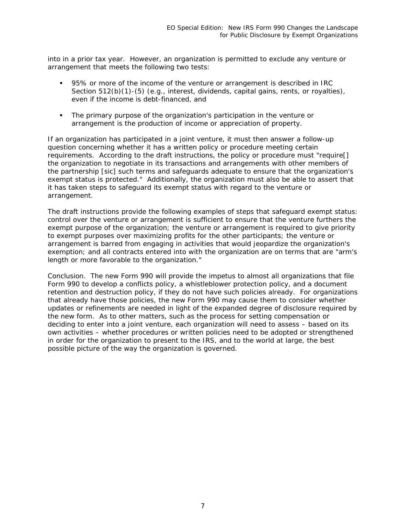into in a prior tax year. However, an organization is permitted to exclude any venture or arrangement that meets the following two tests:

- 95% or more of the income of the venture or arrangement is described in IRC Section 512(b)(1)-(5) (e.g., interest, dividends, capital gains, rents, or royalties), even if the income is debt-financed, *and*
- The primary purpose of the organization's participation in the venture or arrangement is the production of income or appreciation of property.

If an organization has participated in a joint venture, it must then answer a follow-up question concerning whether it has a written policy or procedure meeting certain requirements. According to the draft instructions, the policy or procedure must "require[] the organization to negotiate in its transactions and arrangements with other members of the partnership [*sic*] such terms and safeguards adequate to ensure that the organization's exempt status is protected." Additionally, the organization must also be able to assert that it has taken steps to safeguard its exempt status with regard to the venture or arrangement.

The draft instructions provide the following examples of steps that safeguard exempt status: control over the venture or arrangement is sufficient to ensure that the venture furthers the exempt purpose of the organization; the venture or arrangement is required to give priority to exempt purposes over maximizing profits for the other participants; the venture or arrangement is barred from engaging in activities that would jeopardize the organization's exemption; and all contracts entered into with the organization are on terms that are "arm's length or more favorable to the organization."

*Conclusion*. The new Form 990 will provide the impetus to almost all organizations that file Form 990 to develop a conflicts policy, a whistleblower protection policy, and a document retention and destruction policy, if they do not have such policies already. For organizations that already have those policies, the new Form 990 may cause them to consider whether updates or refinements are needed in light of the expanded degree of disclosure required by the new form. As to other matters, such as the process for setting compensation or deciding to enter into a joint venture, each organization will need to assess – based on its own activities – whether procedures or written policies need to be adopted or strengthened in order for the organization to present to the IRS, and to the world at large, the best possible picture of the way the organization is governed.